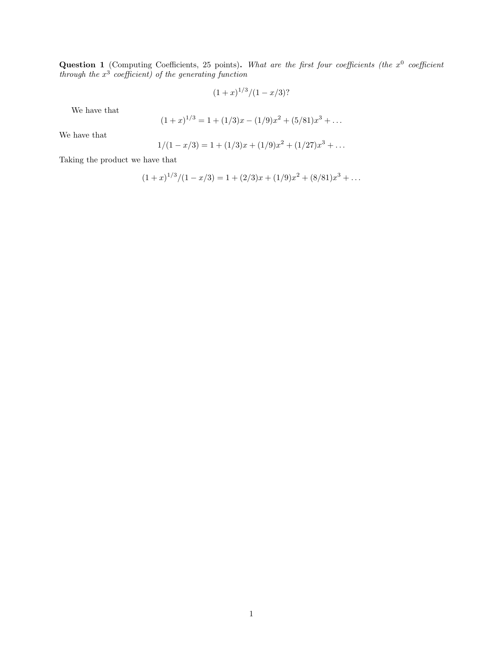**Question 1** (Computing Coefficients, 25 points). What are the first four coefficients (the  $x^0$  coefficient through the  $x^3$  coefficient) of the generating function

$$
(1+x)^{1/3}/(1-x/3)
$$
?

We have that

$$
(1+x)^{1/3} = 1 + (1/3)x - (1/9)x^2 + (5/81)x^3 + \dots
$$

We have that

$$
1/(1-x/3) = 1 + (1/3)x + (1/9)x^{2} + (1/27)x^{3} + \dots
$$

Taking the product we have that

$$
(1+x)^{1/3}/(1-x/3) = 1 + (2/3)x + (1/9)x^{2} + (8/81)x^{3} + \dots
$$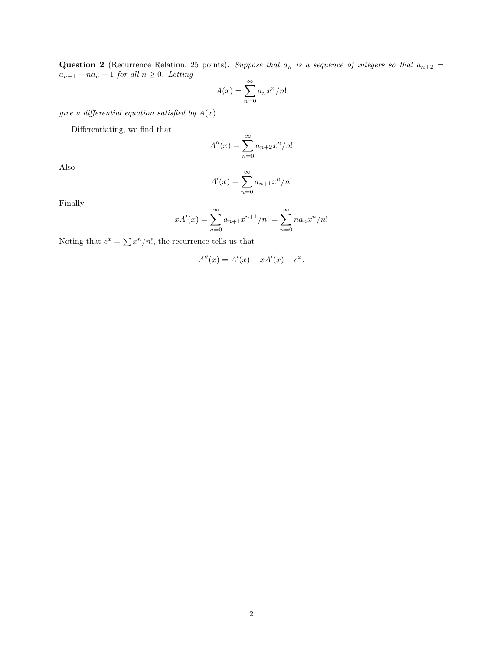Question 2 (Recurrence Relation, 25 points). Suppose that  $a_n$  is a sequence of integers so that  $a_{n+2}$  =  $a_{n+1} - na_n + 1$  for all  $n \geq 0$ . Letting

$$
A(x) = \sum_{n=0}^{\infty} a_n x^n / n!
$$

give a differential equation satisfied by  $A(x)$ .

Differentiating, we find that

$$
A''(x) = \sum_{n=0}^{\infty} a_{n+2} x^n / n!
$$

Also

$$
A'(x) = \sum_{n=0}^{\infty} a_{n+1} x^n / n!
$$

Finally

$$
xA'(x) = \sum_{n=0}^{\infty} a_{n+1}x^{n+1}/n! = \sum_{n=0}^{\infty} na_nx^n/n!
$$

Noting that  $e^x = \sum x^n/n!$ , the recurrence tells us that

$$
A''(x) = A'(x) - xA'(x) + e^x.
$$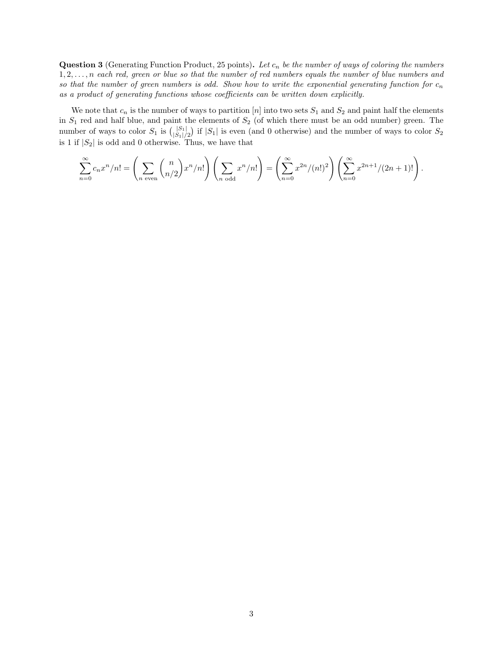Question 3 (Generating Function Product, 25 points). Let  $c_n$  be the number of ways of coloring the numbers  $1, 2, \ldots, n$  each red, green or blue so that the number of red numbers equals the number of blue numbers and so that the number of green numbers is odd. Show how to write the exponential generating function for  $c_n$ as a product of generating functions whose coefficients can be written down explicitly.

We note that  $c_n$  is the number of ways to partition [n] into two sets  $S_1$  and  $S_2$  and paint half the elements in  $S_1$  red and half blue, and paint the elements of  $S_2$  (of which there must be an odd number) green. The number of ways to color  $S_1$  is  $\binom{|S_1|}{|S_1|}$  $\binom{|S_1|}{|S_1|/2}$  if  $|S_1|$  is even (and 0 otherwise) and the number of ways to color  $S_2$ is 1 if  $|S_2|$  is odd and 0 otherwise. Thus, we have that

$$
\sum_{n=0}^{\infty} c_n x^n/n! = \left(\sum_{n \text{ even}} {n \choose n/2} x^n/n! \right) \left(\sum_{n \text{ odd}} x^n/n! \right) = \left(\sum_{n=0}^{\infty} x^{2n}/(n!)^2 \right) \left(\sum_{n=0}^{\infty} x^{2n+1}/(2n+1)! \right).
$$